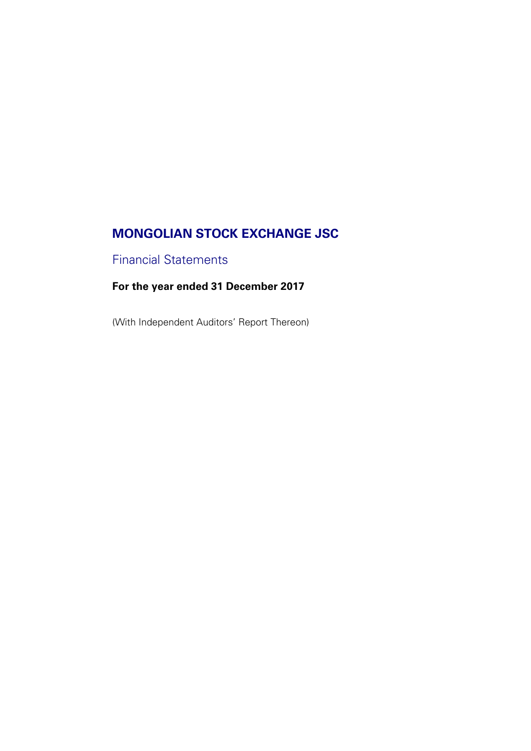## **MONGOLIAN STOCK EXCHANGE JSC**

Financial Statements

**For the year ended 31 December 2017**

(With Independent Auditors' Report Thereon)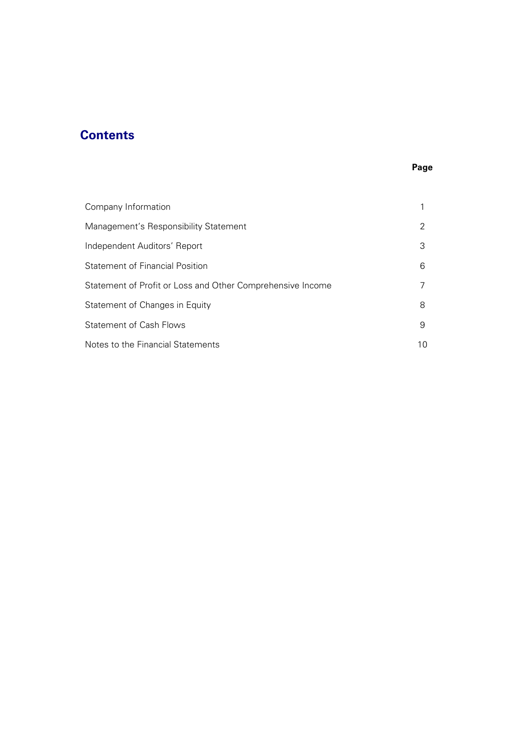# **Contents**

## **Page**

| Company Information                                        |    |
|------------------------------------------------------------|----|
| Management's Responsibility Statement                      | 2  |
| Independent Auditors' Report                               | 3  |
| <b>Statement of Financial Position</b>                     | 6  |
| Statement of Profit or Loss and Other Comprehensive Income |    |
| Statement of Changes in Equity                             | 8  |
| Statement of Cash Flows                                    | 9  |
| Notes to the Financial Statements                          | 10 |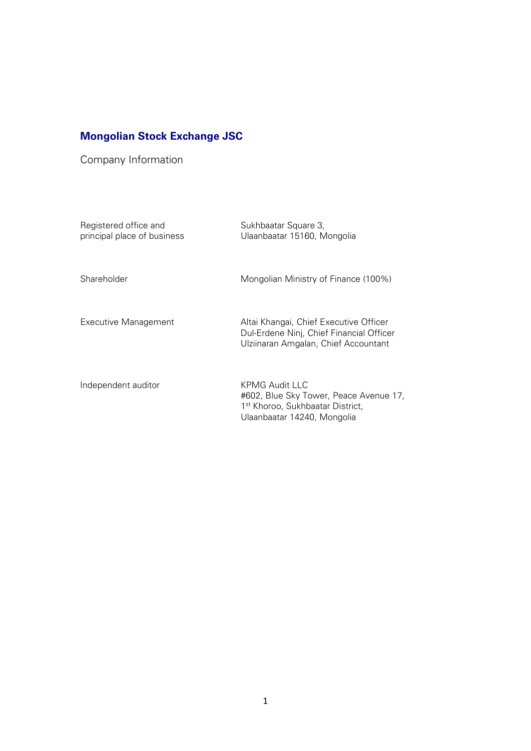# **Mongolian Stock Exchange JSC**

Company Information

| Registered office and<br>principal place of business | Sukhbaatar Square 3,<br>Ulaanbaatar 15160, Mongolia                                                                                     |
|------------------------------------------------------|-----------------------------------------------------------------------------------------------------------------------------------------|
| Shareholder                                          | Mongolian Ministry of Finance (100%)                                                                                                    |
| Executive Management                                 | Altai Khangai, Chief Executive Officer<br>Dul-Erdene Ninj, Chief Financial Officer<br>Ulziinaran Amgalan, Chief Accountant              |
| Independent auditor                                  | KPMG Audit LLC<br>#602, Blue Sky Tower, Peace Avenue 17,<br>1 <sup>st</sup> Khoroo, Sukhbaatar District,<br>Ulaanbaatar 14240, Mongolia |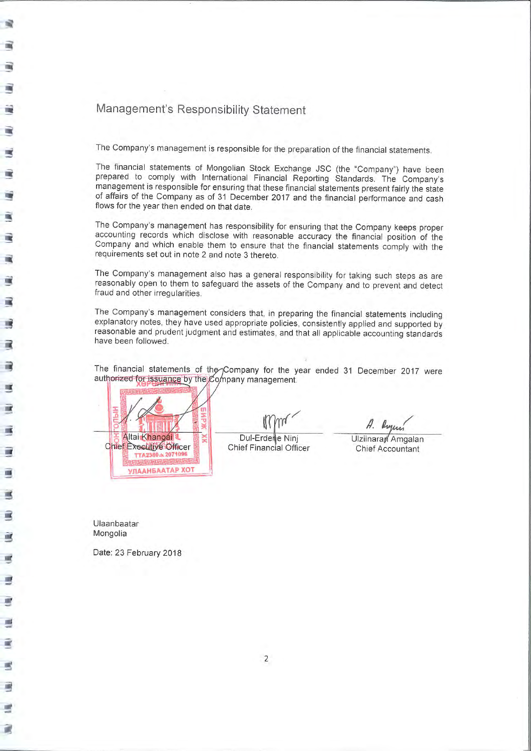## Management's Responsibility Statement

The Company's management is responsible for the preparation of the financial statements.

The financial statements of Mongolian Stock Exchange JSC (the "Company") have been prepared to comply with International Financial Reporting Standards. The Company's management is responsible for ensuring that these financial statements present fairly the state of affairs of the Company as of 31 December 2017 and the financial performance and cash flows for the year then ended on that date.

The Company's management has responsibility for ensuring that the Company keeps proper accounting records which disclose with reasonable accuracy the financial position of the Company and which enable them to ensure that the financial statements comply with the requirements set out in note 2 and note 3 thereto.

The Company's management also has a general responsibility for taking such steps as are reasonably open to them to safeguard the assets of the Company and to prevent and detect fraud and other irregularities.

The Company's management considers that, in preparing the financial statements including explanatory notes, they have used appropriate policies, consistently applied and supported by reasonable and prudent judgment and estimates, and that all applicable accounting standards have been followed.

The financial statements of the Company for the year ended 31 December 2017 were authorized for issuance by the Company management.



Dul-Erdene Ninj Chief Financial Officer

A. Russ

Ulziinaran Amgalan **Chief Accountant** 

Ulaanbaatar Mongolia

Date: 23 February 2018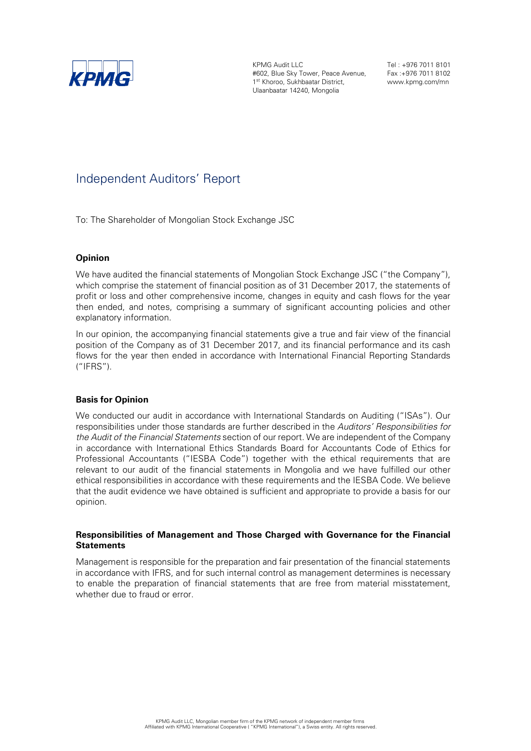

KPMG Audit LLC #602, Blue Sky Tower, Peace Avenue, 1st Khoroo, Sukhbaatar District, Ulaanbaatar 14240, Mongolia

Tel : +976 7011 8101 Fax :+976 7011 8102 www.kpmg.com/mn

## Independent Auditors' Report

To: The Shareholder of Mongolian Stock Exchange JSC

## **Opinion**

We have audited the financial statements of Mongolian Stock Exchange JSC ("the Company"), which comprise the statement of financial position as of 31 December 2017, the statements of profit or loss and other comprehensive income, changes in equity and cash flows for the year then ended, and notes, comprising a summary of significant accounting policies and other explanatory information.

In our opinion, the accompanying financial statements give a true and fair view of the financial position of the Company as of 31 December 2017, and its financial performance and its cash flows for the year then ended in accordance with International Financial Reporting Standards ("IFRS").

## **Basis for Opinion**

We conducted our audit in accordance with International Standards on Auditing ("ISAs"). Our responsibilities under those standards are further described in the Auditors' Responsibilities for the Audit of the Financial Statements section of our report. We are independent of the Company in accordance with International Ethics Standards Board for Accountants Code of Ethics for Professional Accountants ("IESBA Code") together with the ethical requirements that are relevant to our audit of the financial statements in Mongolia and we have fulfilled our other ethical responsibilities in accordance with these requirements and the IESBA Code. We believe that the audit evidence we have obtained is sufficient and appropriate to provide a basis for our opinion.

#### **Responsibilities of Management and Those Charged with Governance for the Financial Statements**

Management is responsible for the preparation and fair presentation of the financial statements in accordance with IFRS, and for such internal control as management determines is necessary to enable the preparation of financial statements that are free from material misstatement, whether due to fraud or error.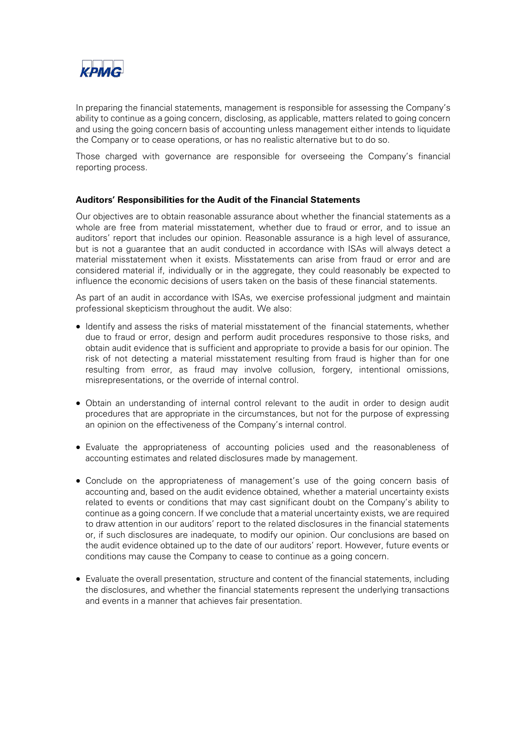

In preparing the financial statements, management is responsible for assessing the Company's ability to continue as a going concern, disclosing, as applicable, matters related to going concern and using the going concern basis of accounting unless management either intends to liquidate the Company or to cease operations, or has no realistic alternative but to do so.

Those charged with governance are responsible for overseeing the Company's financial reporting process.

#### **Auditors' Responsibilities for the Audit of the Financial Statements**

Our objectives are to obtain reasonable assurance about whether the financial statements as a whole are free from material misstatement, whether due to fraud or error, and to issue an auditors' report that includes our opinion. Reasonable assurance is a high level of assurance, but is not a guarantee that an audit conducted in accordance with ISAs will always detect a material misstatement when it exists. Misstatements can arise from fraud or error and are considered material if, individually or in the aggregate, they could reasonably be expected to influence the economic decisions of users taken on the basis of these financial statements.

As part of an audit in accordance with ISAs, we exercise professional judgment and maintain professional skepticism throughout the audit. We also:

- Identify and assess the risks of material misstatement of the financial statements, whether due to fraud or error, design and perform audit procedures responsive to those risks, and obtain audit evidence that is sufficient and appropriate to provide a basis for our opinion. The risk of not detecting a material misstatement resulting from fraud is higher than for one resulting from error, as fraud may involve collusion, forgery, intentional omissions, misrepresentations, or the override of internal control.
- Obtain an understanding of internal control relevant to the audit in order to design audit procedures that are appropriate in the circumstances, but not for the purpose of expressing an opinion on the effectiveness of the Company's internal control.
- Evaluate the appropriateness of accounting policies used and the reasonableness of accounting estimates and related disclosures made by management.
- Conclude on the appropriateness of management's use of the going concern basis of accounting and, based on the audit evidence obtained, whether a material uncertainty exists related to events or conditions that may cast significant doubt on the Company's ability to continue as a going concern. If we conclude that a material uncertainty exists, we are required to draw attention in our auditors' report to the related disclosures in the financial statements or, if such disclosures are inadequate, to modify our opinion. Our conclusions are based on the audit evidence obtained up to the date of our auditors' report. However, future events or conditions may cause the Company to cease to continue as a going concern.
- Evaluate the overall presentation, structure and content of the financial statements, including the disclosures, and whether the financial statements represent the underlying transactions and events in a manner that achieves fair presentation.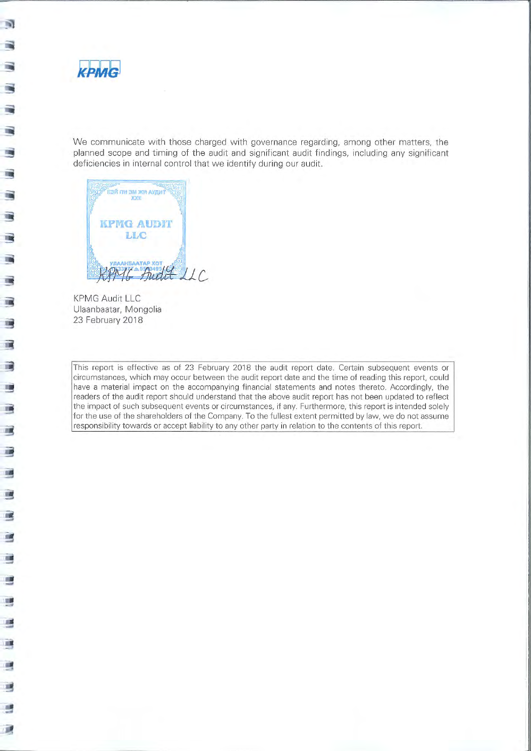



We communicate with those charged with governance regarding, among other matters, the planned scope and timing of the audit and significant audit findings, including any significant deficiencies in internal control that we identify during our audit.

**ESK UN SW KN AVANT KPMG AUDIT** LLC PMG Budit LLC

**KPMG Audit LLC** Ulaanbaatar, Mongolia 23 February 2018

This report is effective as of 23 February 2018 the audit report date. Certain subsequent events or circumstances, which may occur between the audit report date and the time of reading this report, could have a material impact on the accompanying financial statements and notes thereto. Accordingly, the readers of the audit report should understand that the above audit report has not been updated to reflect the impact of such subsequent events or circumstances, if any. Furthermore, this report is intended solely for the use of the shareholders of the Company. To the fullest extent permitted by law, we do not assume responsibility towards or accept liability to any other party in relation to the contents of this report.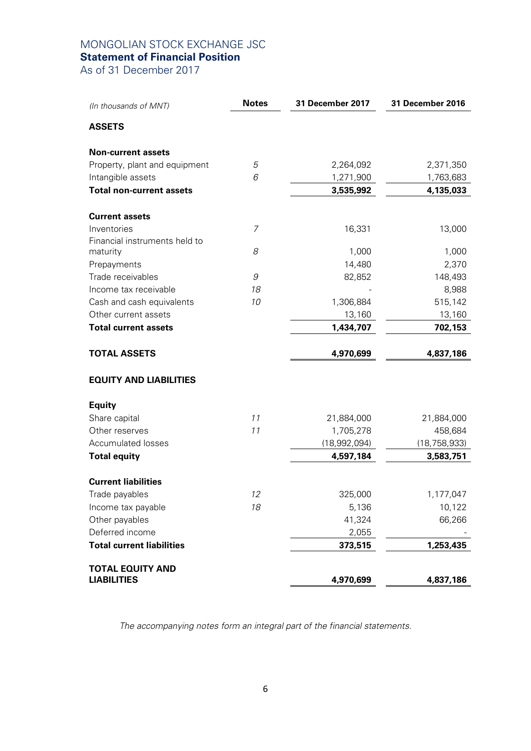## MONGOLIAN STOCK EXCHANGE JSC

## **Statement of Financial Position**

As of 31 December 2017

| (In thousands of MNT)                               | <b>Notes</b> | 31 December 2017 | 31 December 2016    |
|-----------------------------------------------------|--------------|------------------|---------------------|
| <b>ASSETS</b>                                       |              |                  |                     |
| <b>Non-current assets</b>                           |              |                  |                     |
| Property, plant and equipment                       | 5            | 2,264,092        | 2,371,350           |
| Intangible assets                                   | 6            | 1,271,900        | 1,763,683           |
| <b>Total non-current assets</b>                     |              | 3,535,992        | 4,135,033           |
| <b>Current assets</b>                               |              |                  |                     |
| Inventories                                         | 7            | 16,331           | 13,000              |
| Financial instruments held to                       |              |                  |                     |
| maturity                                            | 8            | 1,000            | 1,000               |
| Prepayments                                         |              | 14,480           | 2,370               |
| Trade receivables                                   | 9            | 82,852           | 148,493             |
| Income tax receivable                               | 18           |                  | 8,988               |
| Cash and cash equivalents                           | 10           | 1,306,884        | 515,142             |
| Other current assets                                |              | 13,160           | 13,160              |
| <b>Total current assets</b>                         |              | 1,434,707        | 702,153             |
| <b>TOTAL ASSETS</b>                                 |              | 4,970,699        | 4,837,186           |
|                                                     |              |                  |                     |
| <b>EQUITY AND LIABILITIES</b>                       |              |                  |                     |
| <b>Equity</b>                                       |              |                  |                     |
| Share capital                                       | 11           | 21,884,000       | 21,884,000          |
| Other reserves                                      | 11           | 1,705,278        | 458,684             |
| <b>Accumulated losses</b>                           |              | (18,992,094)     | (18, 758, 933)      |
| <b>Total equity</b>                                 |              | 4,597,184        | 3,583,751           |
| <b>Current liabilities</b>                          |              |                  |                     |
|                                                     | 12           |                  |                     |
| Trade payables<br>Income tax payable                | 18           | 325,000<br>5,136 | 1,177,047<br>10,122 |
|                                                     |              | 41,324           |                     |
| Other payables                                      |              |                  | 66,266              |
| Deferred income<br><b>Total current liabilities</b> |              | 2,055<br>373,515 | 1,253,435           |
| <b>TOTAL EQUITY AND</b><br><b>LIABILITIES</b>       |              | 4,970,699        | 4,837,186           |

The accompanying notes form an integral part of the financial statements.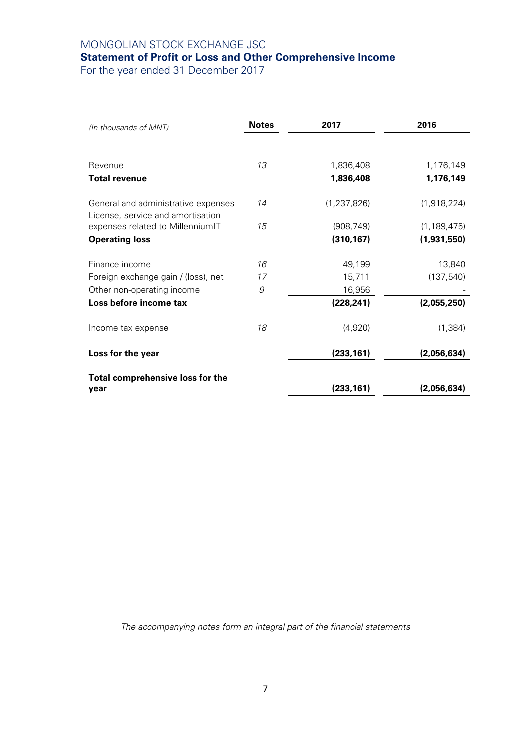## MONGOLIAN STOCK EXCHANGE JSC **Statement of Profit or Loss and Other Comprehensive Income**

For the year ended 31 December 2017

| (In thousands of MNT)                                                    | <b>Notes</b> | 2017          | 2016          |
|--------------------------------------------------------------------------|--------------|---------------|---------------|
| Revenue                                                                  | 13           | 1,836,408     | 1,176,149     |
| <b>Total revenue</b>                                                     |              | 1,836,408     | 1,176,149     |
| General and administrative expenses<br>License, service and amortisation | 14           | (1, 237, 826) | (1,918,224)   |
| expenses related to MillenniumIT                                         | 15           | (908, 749)    | (1, 189, 475) |
| <b>Operating loss</b>                                                    |              | (310, 167)    | (1,931,550)   |
| Finance income                                                           | 16           | 49,199        | 13,840        |
| Foreign exchange gain / (loss), net                                      | 17           | 15,711        | (137, 540)    |
| Other non-operating income                                               | 9            | 16,956        |               |
| Loss before income tax                                                   |              | (228, 241)    | (2,055,250)   |
| Income tax expense                                                       | 18           | (4,920)       | (1, 384)      |
| Loss for the year                                                        |              | (233, 161)    | (2,056,634)   |
| <b>Total comprehensive loss for the</b>                                  |              |               |               |
| year                                                                     |              | (233, 161)    | (2,056,634)   |

The accompanying notes form an integral part of the financial statements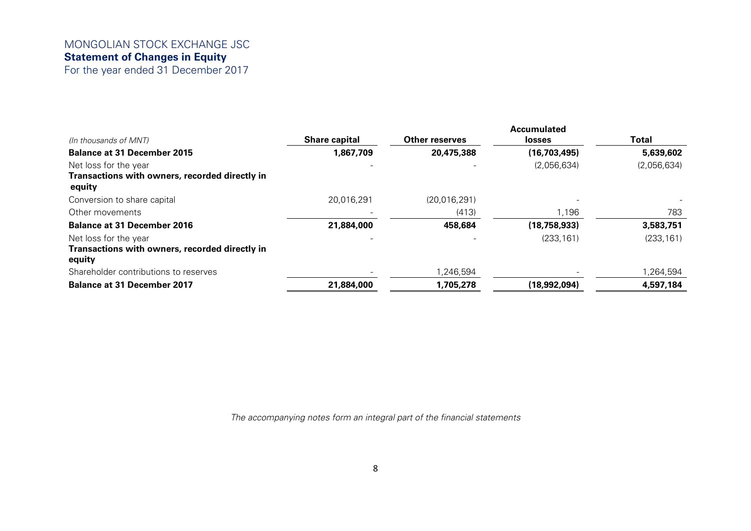## MONGOLIAN STOCK EXCHANGE JSC **Statement of Changes in Equity**

For the year ended 31 December 2017

| (In thousands of MNT)                                    | <b>Share capital</b> | <b>Other reserves</b> | <b>Accumulated</b><br><b>losses</b> | Total       |
|----------------------------------------------------------|----------------------|-----------------------|-------------------------------------|-------------|
| <b>Balance at 31 December 2015</b>                       | 1,867,709            | 20,475,388            | (16,703,495)                        | 5,639,602   |
| Net loss for the year                                    |                      |                       | (2,056,634)                         | (2,056,634) |
| Transactions with owners, recorded directly in<br>equity |                      |                       |                                     |             |
| Conversion to share capital                              | 20,016,291           | (20,016,291)          |                                     |             |
| Other movements                                          |                      | (413)                 | 1,196                               | 783         |
| <b>Balance at 31 December 2016</b>                       | 21,884,000           | 458,684               | (18, 758, 933)                      | 3,583,751   |
| Net loss for the year                                    |                      |                       | (233, 161)                          | (233, 161)  |
| Transactions with owners, recorded directly in<br>equity |                      |                       |                                     |             |
| Shareholder contributions to reserves                    |                      | 1,246,594             |                                     | 1,264,594   |
| <b>Balance at 31 December 2017</b>                       | 21,884,000           | 1,705,278             | (18,992,094)                        | 4,597,184   |

The accompanying notes form an integral part of the financial statements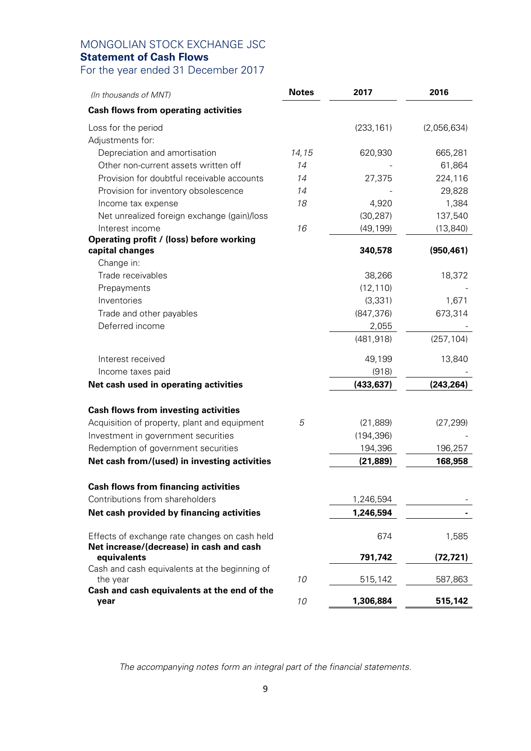## MONGOLIAN STOCK EXCHANGE JSC **Statement of Cash Flows**

For the year ended 31 December 2017

| (In thousands of MNT)                                     | <b>Notes</b> | 2017       | 2016        |
|-----------------------------------------------------------|--------------|------------|-------------|
| <b>Cash flows from operating activities</b>               |              |            |             |
| Loss for the period                                       |              | (233, 161) | (2,056,634) |
| Adjustments for:                                          |              |            |             |
| Depreciation and amortisation                             | 14,15        | 620,930    | 665,281     |
| Other non-current assets written off                      | 14           |            | 61,864      |
| Provision for doubtful receivable accounts                | 14           | 27,375     | 224,116     |
| Provision for inventory obsolescence                      | 14           |            | 29,828      |
| Income tax expense                                        | 18           | 4,920      | 1,384       |
| Net unrealized foreign exchange (gain)/loss               |              | (30, 287)  | 137,540     |
| Interest income                                           | 16           | (49, 199)  | (13, 840)   |
| Operating profit / (loss) before working                  |              |            |             |
| capital changes                                           |              | 340,578    | (950, 461)  |
| Change in:                                                |              |            |             |
| Trade receivables                                         |              | 38,266     | 18,372      |
| Prepayments                                               |              | (12, 110)  |             |
| Inventories                                               |              | (3, 331)   | 1,671       |
| Trade and other payables                                  |              | (847, 376) | 673,314     |
| Deferred income                                           |              | 2,055      |             |
|                                                           |              | (481, 918) | (257, 104)  |
| Interest received                                         |              | 49,199     | 13,840      |
| Income taxes paid                                         |              | (918)      |             |
| Net cash used in operating activities                     |              | (433, 637) | (243, 264)  |
| <b>Cash flows from investing activities</b>               |              |            |             |
| Acquisition of property, plant and equipment              | 5            | (21, 889)  | (27, 299)   |
| Investment in government securities                       |              | (194, 396) |             |
| Redemption of government securities                       |              | 194,396    | 196,257     |
| Net cash from/(used) in investing activities              |              | (21, 889)  | 168,958     |
| <b>Cash flows from financing activities</b>               |              |            |             |
| Contributions from shareholders                           |              | 1,246,594  |             |
| Net cash provided by financing activities                 |              | 1,246,594  |             |
|                                                           |              |            |             |
| Effects of exchange rate changes on cash held             |              | 674        | 1,585       |
| Net increase/(decrease) in cash and cash                  |              |            |             |
| equivalents                                               |              | 791,742    | (72, 721)   |
| Cash and cash equivalents at the beginning of<br>the year | 10           | 515,142    | 587,863     |
| Cash and cash equivalents at the end of the               |              |            |             |
| year                                                      | 10           | 1,306,884  | 515,142     |

The accompanying notes form an integral part of the financial statements.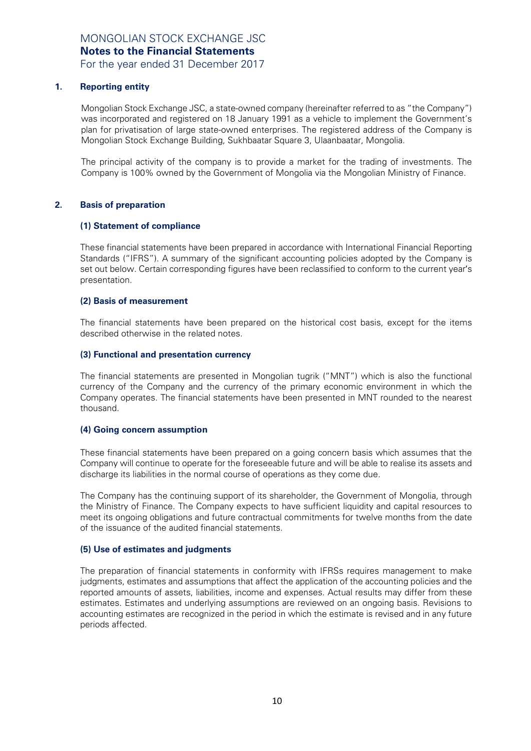#### **1. Reporting entity**

Mongolian Stock Exchange JSC, a state-owned company (hereinafter referred to as "the Company") was incorporated and registered on 18 January 1991 as a vehicle to implement the Government's plan for privatisation of large state-owned enterprises. The registered address of the Company is Mongolian Stock Exchange Building, Sukhbaatar Square 3, Ulaanbaatar, Mongolia.

The principal activity of the company is to provide a market for the trading of investments. The Company is 100% owned by the Government of Mongolia via the Mongolian Ministry of Finance.

## **2. Basis of preparation**

#### **(1) Statement of compliance**

These financial statements have been prepared in accordance with International Financial Reporting Standards ("IFRS"). A summary of the significant accounting policies adopted by the Company is set out below. Certain corresponding figures have been reclassified to conform to the current year's presentation.

#### **(2) Basis of measurement**

The financial statements have been prepared on the historical cost basis, except for the items described otherwise in the related notes.

#### **(3) Functional and presentation currency**

The financial statements are presented in Mongolian tugrik ("MNT") which is also the functional currency of the Company and the currency of the primary economic environment in which the Company operates. The financial statements have been presented in MNT rounded to the nearest thousand.

#### **(4) Going concern assumption**

These financial statements have been prepared on a going concern basis which assumes that the Company will continue to operate for the foreseeable future and will be able to realise its assets and discharge its liabilities in the normal course of operations as they come due.

The Company has the continuing support of its shareholder, the Government of Mongolia, through the Ministry of Finance. The Company expects to have sufficient liquidity and capital resources to meet its ongoing obligations and future contractual commitments for twelve months from the date of the issuance of the audited financial statements.

#### **(5) Use of estimates and judgments**

The preparation of financial statements in conformity with IFRSs requires management to make judgments, estimates and assumptions that affect the application of the accounting policies and the reported amounts of assets, liabilities, income and expenses. Actual results may differ from these estimates. Estimates and underlying assumptions are reviewed on an ongoing basis. Revisions to accounting estimates are recognized in the period in which the estimate is revised and in any future periods affected.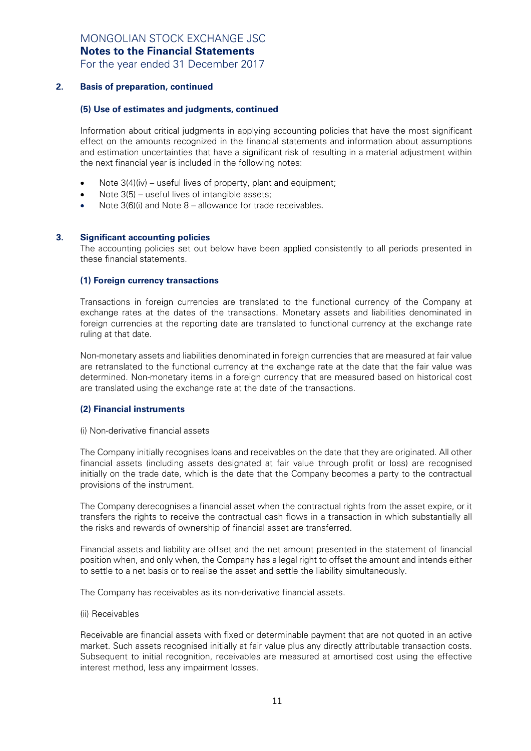## **2. Basis of preparation, continued**

## **(5) Use of estimates and judgments, continued**

Information about critical judgments in applying accounting policies that have the most significant effect on the amounts recognized in the financial statements and information about assumptions and estimation uncertainties that have a significant risk of resulting in a material adjustment within the next financial year is included in the following notes:

- Note 3(4)(iv) useful lives of property, plant and equipment;
- Note 3(5) useful lives of intangible assets;
- Note 3(6)(i) and Note 8 allowance for trade receivables.

## **3. Significant accounting policies**

The accounting policies set out below have been applied consistently to all periods presented in these financial statements.

## **(1) Foreign currency transactions**

Transactions in foreign currencies are translated to the functional currency of the Company at exchange rates at the dates of the transactions. Monetary assets and liabilities denominated in foreign currencies at the reporting date are translated to functional currency at the exchange rate ruling at that date.

Non-monetary assets and liabilities denominated in foreign currencies that are measured at fair value are retranslated to the functional currency at the exchange rate at the date that the fair value was determined. Non-monetary items in a foreign currency that are measured based on historical cost are translated using the exchange rate at the date of the transactions.

## **(2) Financial instruments**

#### (i) Non-derivative financial assets

The Company initially recognises loans and receivables on the date that they are originated. All other financial assets (including assets designated at fair value through profit or loss) are recognised initially on the trade date, which is the date that the Company becomes a party to the contractual provisions of the instrument.

The Company derecognises a financial asset when the contractual rights from the asset expire, or it transfers the rights to receive the contractual cash flows in a transaction in which substantially all the risks and rewards of ownership of financial asset are transferred.

Financial assets and liability are offset and the net amount presented in the statement of financial position when, and only when, the Company has a legal right to offset the amount and intends either to settle to a net basis or to realise the asset and settle the liability simultaneously.

The Company has receivables as its non-derivative financial assets.

#### (ii) Receivables

Receivable are financial assets with fixed or determinable payment that are not quoted in an active market. Such assets recognised initially at fair value plus any directly attributable transaction costs. Subsequent to initial recognition, receivables are measured at amortised cost using the effective interest method, less any impairment losses.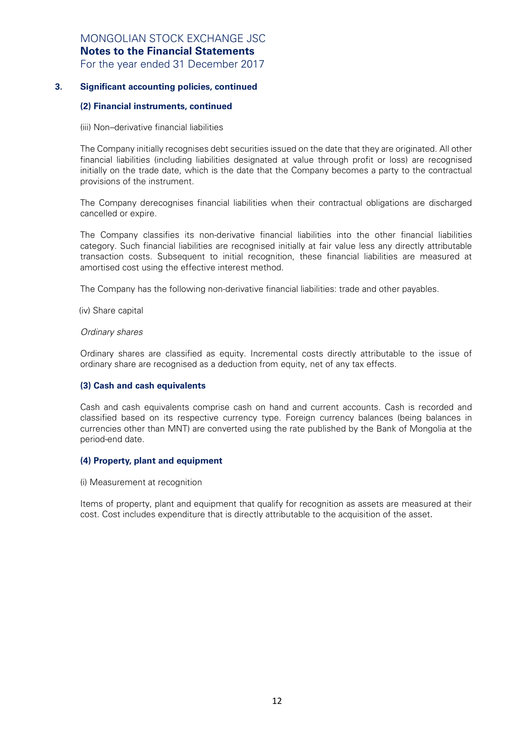## **3. Significant accounting policies, continued**

## **(2) Financial instruments, continued**

(iii) Non–derivative financial liabilities

The Company initially recognises debt securities issued on the date that they are originated. All other financial liabilities (including liabilities designated at value through profit or loss) are recognised initially on the trade date, which is the date that the Company becomes a party to the contractual provisions of the instrument.

The Company derecognises financial liabilities when their contractual obligations are discharged cancelled or expire.

The Company classifies its non-derivative financial liabilities into the other financial liabilities category. Such financial liabilities are recognised initially at fair value less any directly attributable transaction costs. Subsequent to initial recognition, these financial liabilities are measured at amortised cost using the effective interest method.

The Company has the following non-derivative financial liabilities: trade and other payables.

(iv) Share capital

#### Ordinary shares

Ordinary shares are classified as equity. Incremental costs directly attributable to the issue of ordinary share are recognised as a deduction from equity, net of any tax effects.

## **(3) Cash and cash equivalents**

Cash and cash equivalents comprise cash on hand and current accounts. Cash is recorded and classified based on its respective currency type. Foreign currency balances (being balances in currencies other than MNT) are converted using the rate published by the Bank of Mongolia at the period-end date.

## **(4) Property, plant and equipment**

(i) Measurement at recognition

Items of property, plant and equipment that qualify for recognition as assets are measured at their cost. Cost includes expenditure that is directly attributable to the acquisition of the asset.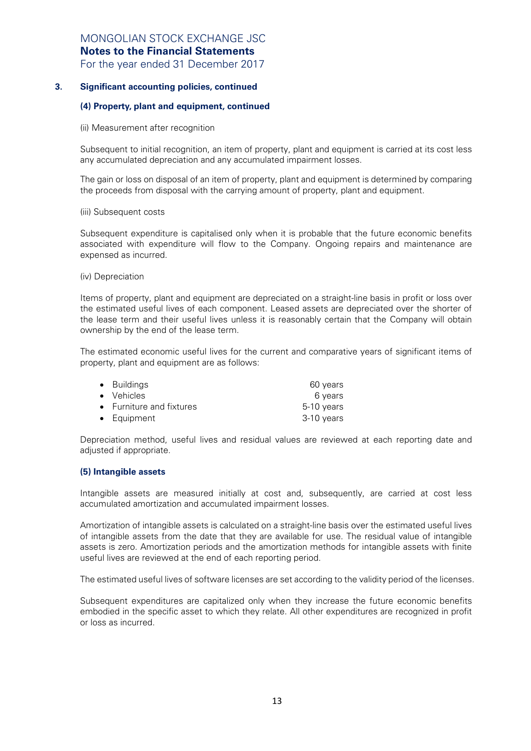## **3. Significant accounting policies, continued**

## **(4) Property, plant and equipment, continued**

(ii) Measurement after recognition

Subsequent to initial recognition, an item of property, plant and equipment is carried at its cost less any accumulated depreciation and any accumulated impairment losses.

The gain or loss on disposal of an item of property, plant and equipment is determined by comparing the proceeds from disposal with the carrying amount of property, plant and equipment.

#### (iii) Subsequent costs

Subsequent expenditure is capitalised only when it is probable that the future economic benefits associated with expenditure will flow to the Company. Ongoing repairs and maintenance are expensed as incurred.

(iv) Depreciation

Items of property, plant and equipment are depreciated on a straight-line basis in profit or loss over the estimated useful lives of each component. Leased assets are depreciated over the shorter of the lease term and their useful lives unless it is reasonably certain that the Company will obtain ownership by the end of the lease term.

The estimated economic useful lives for the current and comparative years of significant items of property, plant and equipment are as follows:

| • Buildings              | 60 years   |
|--------------------------|------------|
| $\bullet$ Vehicles       | 6 years    |
| • Furniture and fixtures | 5-10 years |
| • Equipment              | 3-10 years |

Depreciation method, useful lives and residual values are reviewed at each reporting date and adjusted if appropriate.

## **(5) Intangible assets**

Intangible assets are measured initially at cost and, subsequently, are carried at cost less accumulated amortization and accumulated impairment losses.

Amortization of intangible assets is calculated on a straight-line basis over the estimated useful lives of intangible assets from the date that they are available for use. The residual value of intangible assets is zero. Amortization periods and the amortization methods for intangible assets with finite useful lives are reviewed at the end of each reporting period.

The estimated useful lives of software licenses are set according to the validity period of the licenses.

Subsequent expenditures are capitalized only when they increase the future economic benefits embodied in the specific asset to which they relate. All other expenditures are recognized in profit or loss as incurred.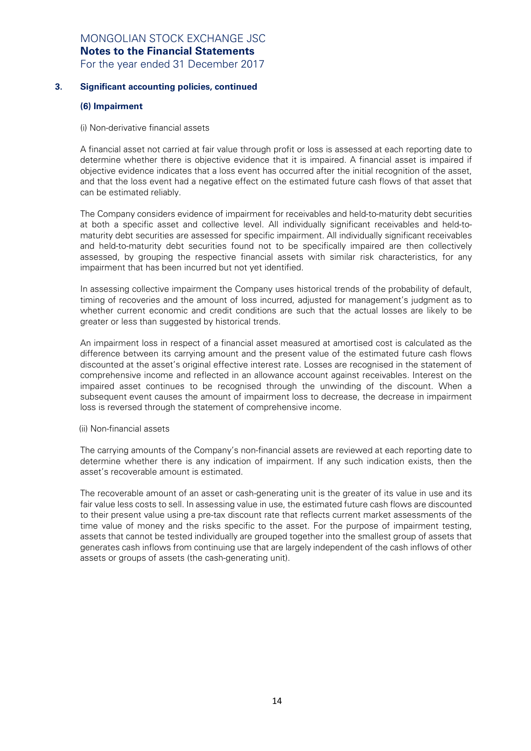## **3. Significant accounting policies, continued**

#### **(6) Impairment**

#### (i) Non-derivative financial assets

A financial asset not carried at fair value through profit or loss is assessed at each reporting date to determine whether there is objective evidence that it is impaired. A financial asset is impaired if objective evidence indicates that a loss event has occurred after the initial recognition of the asset, and that the loss event had a negative effect on the estimated future cash flows of that asset that can be estimated reliably.

The Company considers evidence of impairment for receivables and held-to-maturity debt securities at both a specific asset and collective level. All individually significant receivables and held-tomaturity debt securities are assessed for specific impairment. All individually significant receivables and held-to-maturity debt securities found not to be specifically impaired are then collectively assessed, by grouping the respective financial assets with similar risk characteristics, for any impairment that has been incurred but not yet identified.

In assessing collective impairment the Company uses historical trends of the probability of default, timing of recoveries and the amount of loss incurred, adjusted for management's judgment as to whether current economic and credit conditions are such that the actual losses are likely to be greater or less than suggested by historical trends.

An impairment loss in respect of a financial asset measured at amortised cost is calculated as the difference between its carrying amount and the present value of the estimated future cash flows discounted at the asset's original effective interest rate. Losses are recognised in the statement of comprehensive income and reflected in an allowance account against receivables. Interest on the impaired asset continues to be recognised through the unwinding of the discount. When a subsequent event causes the amount of impairment loss to decrease, the decrease in impairment loss is reversed through the statement of comprehensive income.

#### (ii) Non-financial assets

The carrying amounts of the Company's non-financial assets are reviewed at each reporting date to determine whether there is any indication of impairment. If any such indication exists, then the asset's recoverable amount is estimated.

The recoverable amount of an asset or cash-generating unit is the greater of its value in use and its fair value less costs to sell. In assessing value in use, the estimated future cash flows are discounted to their present value using a pre-tax discount rate that reflects current market assessments of the time value of money and the risks specific to the asset. For the purpose of impairment testing, assets that cannot be tested individually are grouped together into the smallest group of assets that generates cash inflows from continuing use that are largely independent of the cash inflows of other assets or groups of assets (the cash-generating unit).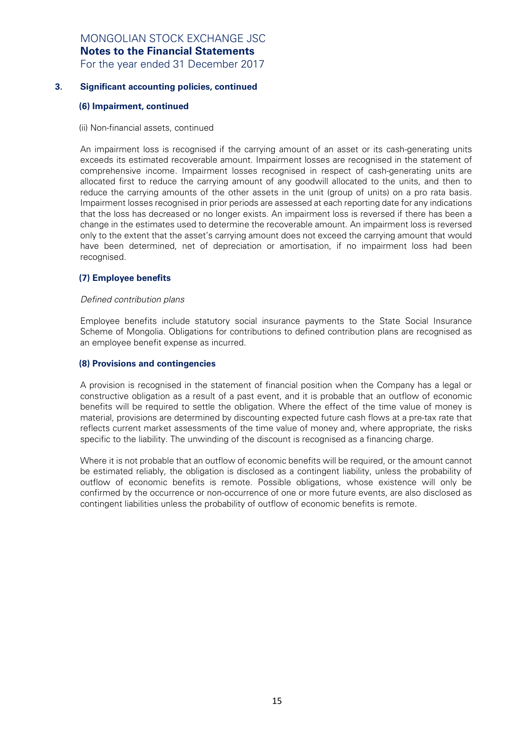## **3. Significant accounting policies, continued**

#### **(6) Impairment, continued**

#### (ii) Non-financial assets, continued

An impairment loss is recognised if the carrying amount of an asset or its cash-generating units exceeds its estimated recoverable amount. Impairment losses are recognised in the statement of comprehensive income. Impairment losses recognised in respect of cash-generating units are allocated first to reduce the carrying amount of any goodwill allocated to the units, and then to reduce the carrying amounts of the other assets in the unit (group of units) on a pro rata basis. Impairment losses recognised in prior periods are assessed at each reporting date for any indications that the loss has decreased or no longer exists. An impairment loss is reversed if there has been a change in the estimates used to determine the recoverable amount. An impairment loss is reversed only to the extent that the asset's carrying amount does not exceed the carrying amount that would have been determined, net of depreciation or amortisation, if no impairment loss had been recognised.

#### **(7) Employee benefits**

#### Defined contribution plans

Employee benefits include statutory social insurance payments to the State Social Insurance Scheme of Mongolia. Obligations for contributions to defined contribution plans are recognised as an employee benefit expense as incurred.

#### **(8) Provisions and contingencies**

A provision is recognised in the statement of financial position when the Company has a legal or constructive obligation as a result of a past event, and it is probable that an outflow of economic benefits will be required to settle the obligation. Where the effect of the time value of money is material, provisions are determined by discounting expected future cash flows at a pre-tax rate that reflects current market assessments of the time value of money and, where appropriate, the risks specific to the liability. The unwinding of the discount is recognised as a financing charge.

Where it is not probable that an outflow of economic benefits will be required, or the amount cannot be estimated reliably, the obligation is disclosed as a contingent liability, unless the probability of outflow of economic benefits is remote. Possible obligations, whose existence will only be confirmed by the occurrence or non-occurrence of one or more future events, are also disclosed as contingent liabilities unless the probability of outflow of economic benefits is remote.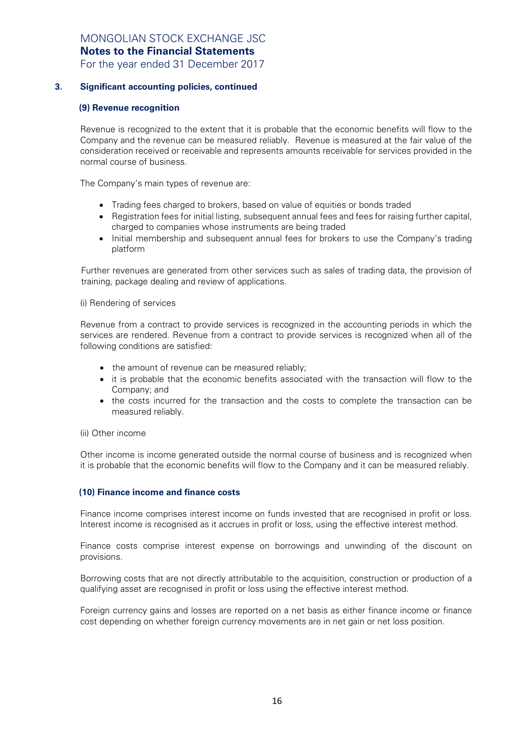## **3. Significant accounting policies, continued**

## **(9) Revenue recognition**

Revenue is recognized to the extent that it is probable that the economic benefits will flow to the Company and the revenue can be measured reliably. Revenue is measured at the fair value of the consideration received or receivable and represents amounts receivable for services provided in the normal course of business.

The Company's main types of revenue are:

- Trading fees charged to brokers, based on value of equities or bonds traded
- Registration fees for initial listing, subsequent annual fees and fees for raising further capital, charged to companies whose instruments are being traded
- Initial membership and subsequent annual fees for brokers to use the Company's trading platform

Further revenues are generated from other services such as sales of trading data, the provision of training, package dealing and review of applications.

(i) Rendering of services

Revenue from a contract to provide services is recognized in the accounting periods in which the services are rendered. Revenue from a contract to provide services is recognized when all of the following conditions are satisfied:

- the amount of revenue can be measured reliably;
- it is probable that the economic benefits associated with the transaction will flow to the Company; and
- the costs incurred for the transaction and the costs to complete the transaction can be measured reliably.

## (ii) Other income

Other income is income generated outside the normal course of business and is recognized when it is probable that the economic benefits will flow to the Company and it can be measured reliably.

## **(10) Finance income and finance costs**

Finance income comprises interest income on funds invested that are recognised in profit or loss. Interest income is recognised as it accrues in profit or loss, using the effective interest method.

Finance costs comprise interest expense on borrowings and unwinding of the discount on provisions.

Borrowing costs that are not directly attributable to the acquisition, construction or production of a qualifying asset are recognised in profit or loss using the effective interest method.

Foreign currency gains and losses are reported on a net basis as either finance income or finance cost depending on whether foreign currency movements are in net gain or net loss position.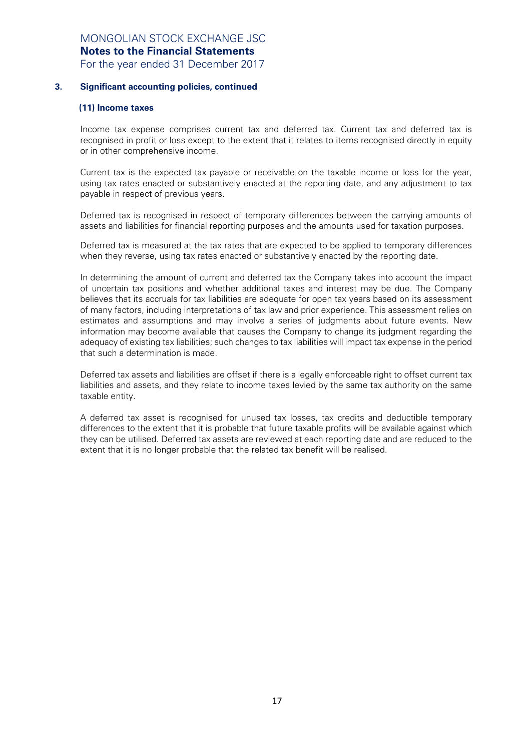#### **3. Significant accounting policies, continued**

#### **(11) Income taxes**

Income tax expense comprises current tax and deferred tax. Current tax and deferred tax is recognised in profit or loss except to the extent that it relates to items recognised directly in equity or in other comprehensive income.

Current tax is the expected tax payable or receivable on the taxable income or loss for the year, using tax rates enacted or substantively enacted at the reporting date, and any adjustment to tax payable in respect of previous years.

Deferred tax is recognised in respect of temporary differences between the carrying amounts of assets and liabilities for financial reporting purposes and the amounts used for taxation purposes.

Deferred tax is measured at the tax rates that are expected to be applied to temporary differences when they reverse, using tax rates enacted or substantively enacted by the reporting date.

In determining the amount of current and deferred tax the Company takes into account the impact of uncertain tax positions and whether additional taxes and interest may be due. The Company believes that its accruals for tax liabilities are adequate for open tax years based on its assessment of many factors, including interpretations of tax law and prior experience. This assessment relies on estimates and assumptions and may involve a series of judgments about future events. New information may become available that causes the Company to change its judgment regarding the adequacy of existing tax liabilities; such changes to tax liabilities will impact tax expense in the period that such a determination is made.

Deferred tax assets and liabilities are offset if there is a legally enforceable right to offset current tax liabilities and assets, and they relate to income taxes levied by the same tax authority on the same taxable entity.

A deferred tax asset is recognised for unused tax losses, tax credits and deductible temporary differences to the extent that it is probable that future taxable profits will be available against which they can be utilised. Deferred tax assets are reviewed at each reporting date and are reduced to the extent that it is no longer probable that the related tax benefit will be realised.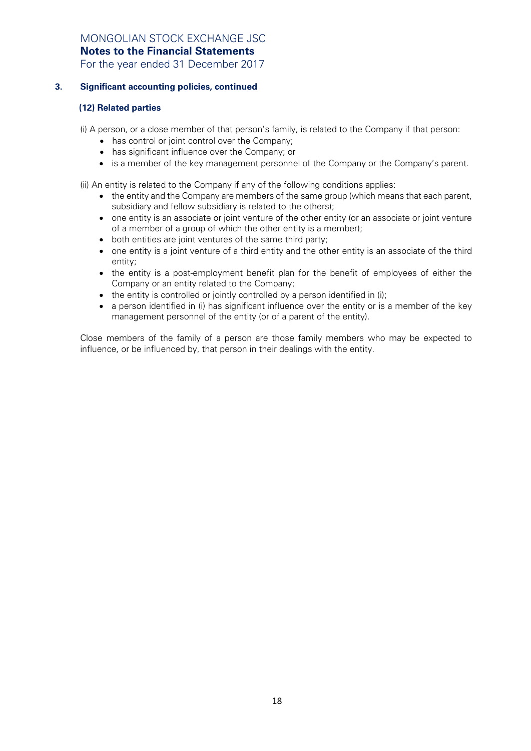## **3. Significant accounting policies, continued**

## **(12) Related parties**

(i) A person, or a close member of that person's family, is related to the Company if that person:

- has control or joint control over the Company;
- has significant influence over the Company; or
- is a member of the key management personnel of the Company or the Company's parent.

(ii) An entity is related to the Company if any of the following conditions applies:

- the entity and the Company are members of the same group (which means that each parent, subsidiary and fellow subsidiary is related to the others);
- one entity is an associate or joint venture of the other entity (or an associate or joint venture of a member of a group of which the other entity is a member);
- both entities are joint ventures of the same third party;
- one entity is a joint venture of a third entity and the other entity is an associate of the third entity;
- the entity is a post-employment benefit plan for the benefit of employees of either the Company or an entity related to the Company;
- $\bullet$  the entity is controlled or jointly controlled by a person identified in (i);
- a person identified in (i) has significant influence over the entity or is a member of the key management personnel of the entity (or of a parent of the entity).

Close members of the family of a person are those family members who may be expected to influence, or be influenced by, that person in their dealings with the entity.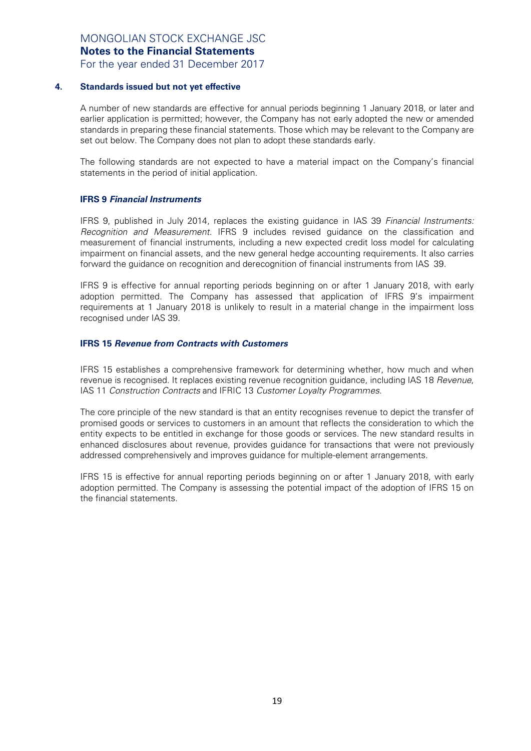#### **4. Standards issued but not yet effective**

A number of new standards are effective for annual periods beginning 1 January 2018, or later and earlier application is permitted; however, the Company has not early adopted the new or amended standards in preparing these financial statements. Those which may be relevant to the Company are set out below. The Company does not plan to adopt these standards early.

The following standards are not expected to have a material impact on the Company's financial statements in the period of initial application.

#### **IFRS 9 Financial Instruments**

IFRS 9, published in July 2014, replaces the existing guidance in IAS 39 Financial Instruments: Recognition and Measurement. IFRS 9 includes revised guidance on the classification and measurement of financial instruments, including a new expected credit loss model for calculating impairment on financial assets, and the new general hedge accounting requirements. It also carries forward the guidance on recognition and derecognition of financial instruments from IAS 39.

IFRS 9 is effective for annual reporting periods beginning on or after 1 January 2018, with early adoption permitted. The Company has assessed that application of IFRS 9's impairment requirements at 1 January 2018 is unlikely to result in a material change in the impairment loss recognised under IAS 39.

#### **IFRS 15 Revenue from Contracts with Customers**

IFRS 15 establishes a comprehensive framework for determining whether, how much and when revenue is recognised. It replaces existing revenue recognition guidance, including IAS 18 Revenue, IAS 11 Construction Contracts and IFRIC 13 Customer Loyalty Programmes.

The core principle of the new standard is that an entity recognises revenue to depict the transfer of promised goods or services to customers in an amount that reflects the consideration to which the entity expects to be entitled in exchange for those goods or services. The new standard results in enhanced disclosures about revenue, provides guidance for transactions that were not previously addressed comprehensively and improves guidance for multiple-element arrangements.

IFRS 15 is effective for annual reporting periods beginning on or after 1 January 2018, with early adoption permitted. The Company is assessing the potential impact of the adoption of IFRS 15 on the financial statements.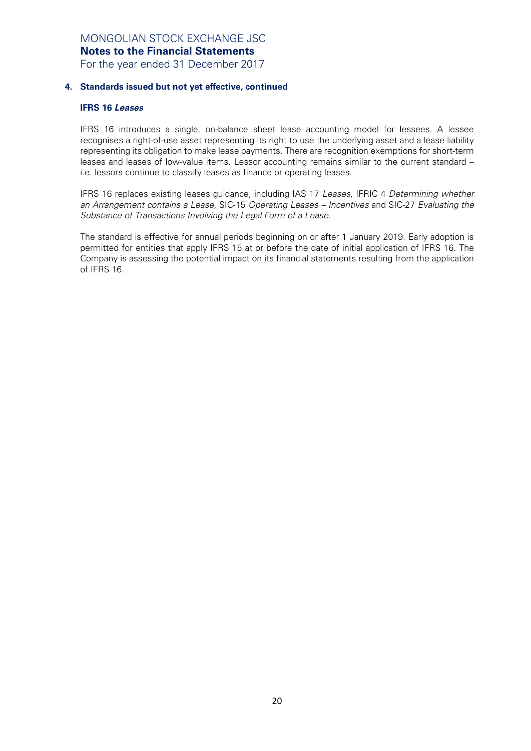## **4. Standards issued but not yet effective, continued**

#### **IFRS 16 Leases**

IFRS 16 introduces a single, on-balance sheet lease accounting model for lessees. A lessee recognises a right-of-use asset representing its right to use the underlying asset and a lease liability representing its obligation to make lease payments. There are recognition exemptions for short-term leases and leases of low-value items. Lessor accounting remains similar to the current standard – i.e. lessors continue to classify leases as finance or operating leases.

IFRS 16 replaces existing leases guidance, including IAS 17 Leases, IFRIC 4 Determining whether an Arrangement contains a Lease, SIC-15 Operating Leases – Incentives and SIC-27 Evaluating the Substance of Transactions Involving the Legal Form of a Lease.

The standard is effective for annual periods beginning on or after 1 January 2019. Early adoption is permitted for entities that apply IFRS 15 at or before the date of initial application of IFRS 16. The Company is assessing the potential impact on its financial statements resulting from the application of IFRS 16.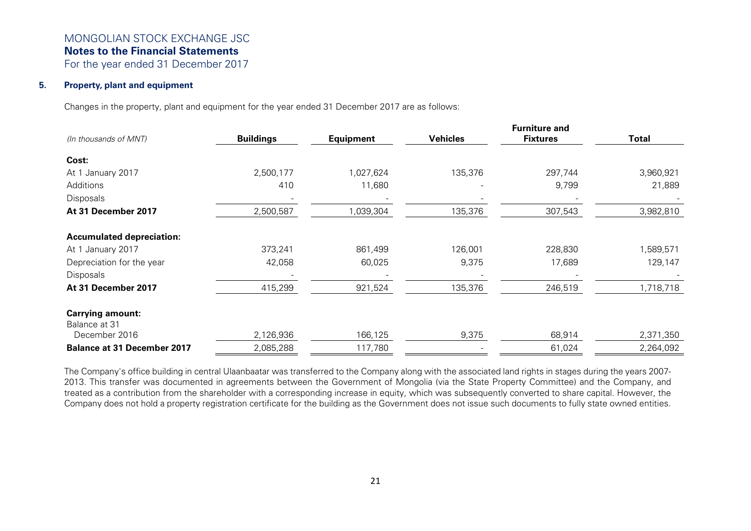## MONGOLIAN STOCK EXCHANGE JSC **Notes to the Financial Statements**

For the year ended 31 December 2017

## **5. Property, plant and equipment**

Changes in the property, plant and equipment for the year ended 31 December 2017 are as follows:

|                                          |                  |                  |                 | <b>Furniture and</b> |              |
|------------------------------------------|------------------|------------------|-----------------|----------------------|--------------|
| (In thousands of MNT)                    | <b>Buildings</b> | <b>Equipment</b> | <b>Vehicles</b> | <b>Fixtures</b>      | <b>Total</b> |
| Cost:                                    |                  |                  |                 |                      |              |
| At 1 January 2017                        | 2,500,177        | 1,027,624        | 135,376         | 297,744              | 3,960,921    |
| Additions                                | 410              | 11,680           |                 | 9,799                | 21,889       |
| Disposals                                |                  |                  |                 |                      |              |
| At 31 December 2017                      | 2,500,587        | 1,039,304        | 135,376         | 307,543              | 3,982,810    |
| <b>Accumulated depreciation:</b>         |                  |                  |                 |                      |              |
| At 1 January 2017                        | 373,241          | 861,499          | 126,001         | 228,830              | 1,589,571    |
| Depreciation for the year                | 42,058           | 60,025           | 9,375           | 17,689               | 129,147      |
| <b>Disposals</b>                         |                  |                  |                 |                      |              |
| At 31 December 2017                      | 415,299          | 921,524          | 135,376         | 246,519              | 1,718,718    |
| <b>Carrying amount:</b><br>Balance at 31 |                  |                  |                 |                      |              |
| December 2016                            | 2,126,936        | 166,125          | 9,375           | 68,914               | 2,371,350    |
| <b>Balance at 31 December 2017</b>       | 2,085,288        | 117,780          |                 | 61,024               | 2,264,092    |

The Company's office building in central Ulaanbaatar was transferred to the Company along with the associated land rights in stages during the years 2007- 2013. This transfer was documented in agreements between the Government of Mongolia (via the State Property Committee) and the Company, and treated as a contribution from the shareholder with a corresponding increase in equity, which was subsequently converted to share capital. However, the Company does not hold a property registration certificate for the building as the Government does not issue such documents to fully state owned entities.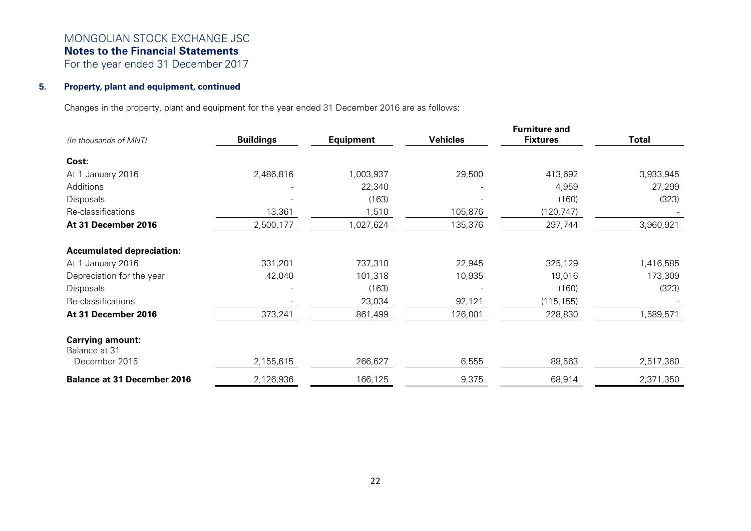## MONGOLIAN STOCK EXCHANGE JSC **Notes to the Financial Statements**

For the year ended 31 December 2017

## **5. Property, plant and equipment, continued**

Changes in the property, plant and equipment for the year ended 31 December 2016 are as follows:

|                                          |                  |                  |                 | <b>Furniture and</b> |              |
|------------------------------------------|------------------|------------------|-----------------|----------------------|--------------|
| (In thousands of MNT)                    | <b>Buildings</b> | <b>Equipment</b> | <b>Vehicles</b> | <b>Fixtures</b>      | <b>Total</b> |
| Cost:                                    |                  |                  |                 |                      |              |
| At 1 January 2016                        | 2,486,816        | 1,003,937        | 29,500          | 413,692              | 3,933,945    |
| Additions                                |                  | 22,340           |                 | 4,959                | 27,299       |
| Disposals                                |                  | (163)            |                 | (160)                | (323)        |
| Re-classifications                       | 13,361           | 1,510            | 105,876         | (120, 747)           |              |
| At 31 December 2016                      | 2,500,177        | 1,027,624        | 135,376         | 297,744              | 3,960,921    |
| <b>Accumulated depreciation:</b>         |                  |                  |                 |                      |              |
| At 1 January 2016                        | 331,201          | 737,310          | 22,945          | 325,129              | 1,416,585    |
| Depreciation for the year                | 42,040           | 101,318          | 10,935          | 19,016               | 173,309      |
| <b>Disposals</b>                         |                  | (163)            |                 | (160)                | (323)        |
| Re-classifications                       |                  | 23,034           | 92,121          | (115, 155)           |              |
| At 31 December 2016                      | 373,241          | 861,499          | 126,001         | 228,830              | 1,589,571    |
| <b>Carrying amount:</b><br>Balance at 31 |                  |                  |                 |                      |              |
| December 2015                            | 2,155,615        | 266,627          | 6,555           | 88,563               | 2,517,360    |
| <b>Balance at 31 December 2016</b>       | 2,126,936        | 166,125          | 9,375           | 68,914               | 2,371,350    |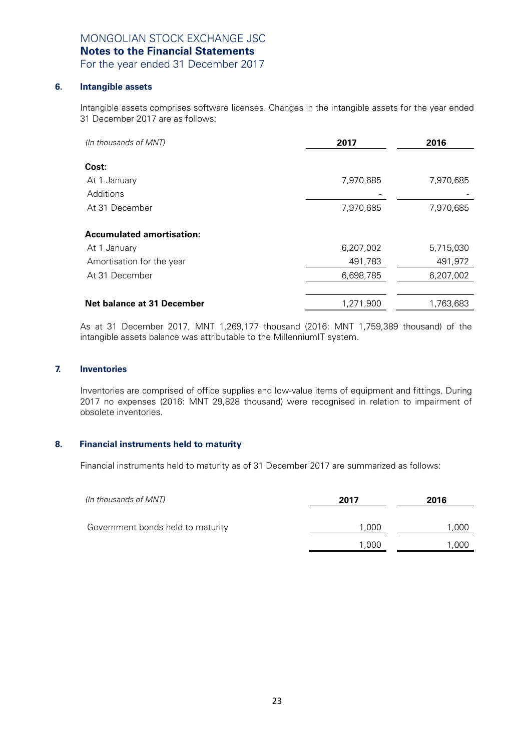## **6. Intangible assets**

Intangible assets comprises software licenses. Changes in the intangible assets for the year ended 31 December 2017 are as follows:

| (In thousands of MNT)              | 2017      | 2016      |
|------------------------------------|-----------|-----------|
| Cost:<br>At 1 January<br>Additions | 7,970,685 | 7,970,685 |
| At 31 December                     | 7,970,685 | 7,970,685 |
| <b>Accumulated amortisation:</b>   |           |           |
| At 1 January                       | 6,207,002 | 5,715,030 |
| Amortisation for the year          | 491,783   | 491,972   |
| At 31 December                     | 6,698,785 | 6,207,002 |
| <b>Net balance at 31 December</b>  | 1,271,900 | 1,763,683 |

As at 31 December 2017, MNT 1,269,177 thousand (2016: MNT 1,759,389 thousand) of the intangible assets balance was attributable to the MillenniumIT system.

#### **7. Inventories**

Inventories are comprised of office supplies and low-value items of equipment and fittings. During 2017 no expenses (2016: MNT 29,828 thousand) were recognised in relation to impairment of obsolete inventories.

#### **8. Financial instruments held to maturity**

Financial instruments held to maturity as of 31 December 2017 are summarized as follows:

| (In thousands of MNT)             | 2017  | 2016  |
|-----------------------------------|-------|-------|
| Government bonds held to maturity | 1.000 | 1,000 |
|                                   | 1,000 | 1,000 |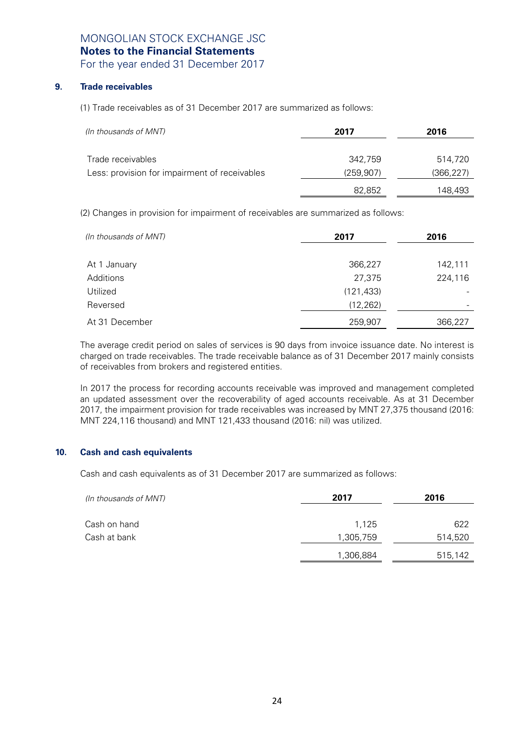#### **9. Trade receivables**

(1) Trade receivables as of 31 December 2017 are summarized as follows:

| (In thousands of MNT)                         | 2017       | 2016       |
|-----------------------------------------------|------------|------------|
| Trade receivables                             | 342.759    | 514.720    |
| Less: provision for impairment of receivables | (259, 907) | (366, 227) |
|                                               | 82,852     | 148.493    |

(2) Changes in provision for impairment of receivables are summarized as follows:

| (In thousands of MNT) | 2017       | 2016    |  |
|-----------------------|------------|---------|--|
| At 1 January          | 366,227    | 142,111 |  |
| Additions             | 27,375     | 224,116 |  |
| Utilized              | (121, 433) |         |  |
| Reversed              | (12, 262)  |         |  |
| At 31 December        | 259,907    | 366,227 |  |

The average credit period on sales of services is 90 days from invoice issuance date. No interest is charged on trade receivables. The trade receivable balance as of 31 December 2017 mainly consists of receivables from brokers and registered entities.

In 2017 the process for recording accounts receivable was improved and management completed an updated assessment over the recoverability of aged accounts receivable. As at 31 December 2017, the impairment provision for trade receivables was increased by MNT 27,375 thousand (2016: MNT 224,116 thousand) and MNT 121,433 thousand (2016: nil) was utilized.

#### **10. Cash and cash equivalents**

Cash and cash equivalents as of 31 December 2017 are summarized as follows:

| (In thousands of MNT) | 2017      | 2016    |
|-----------------------|-----------|---------|
| Cash on hand          | 1.125     | 622     |
| Cash at bank          | 1,305,759 | 514,520 |
|                       | 1,306,884 | 515,142 |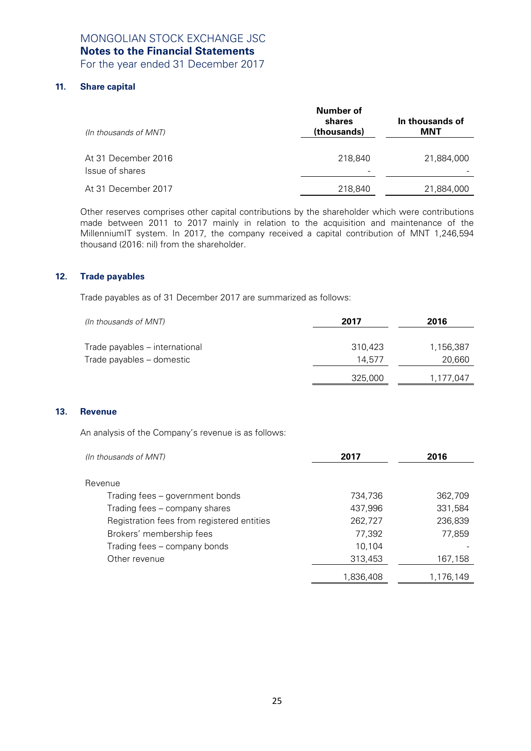## **11. Share capital**

| (In thousands of MNT)                  | Number of<br>shares<br>(thousands) | In thousands of<br><b>MNT</b> |  |
|----------------------------------------|------------------------------------|-------------------------------|--|
| At 31 December 2016<br>Issue of shares | 218.840<br>$\qquad \qquad$         | 21.884.000                    |  |
| At 31 December 2017                    | 218,840                            | 21,884,000                    |  |

Other reserves comprises other capital contributions by the shareholder which were contributions made between 2011 to 2017 mainly in relation to the acquisition and maintenance of the MillenniumIT system. In 2017, the company received a capital contribution of MNT 1,246,594 thousand (2016: nil) from the shareholder.

#### **12. Trade payables**

Trade payables as of 31 December 2017 are summarized as follows:

| (In thousands of MNT)          | 2017    | 2016      |
|--------------------------------|---------|-----------|
| Trade payables – international | 310.423 | 1,156,387 |
| Trade payables – domestic      | 14.577  | 20,660    |
|                                | 325,000 | 1,177,047 |

#### **13. Revenue**

An analysis of the Company's revenue is as follows:

| (In thousands of MNT)                      | 2017      | 2016      |
|--------------------------------------------|-----------|-----------|
|                                            |           |           |
| Revenue                                    |           |           |
| Trading fees - government bonds            | 734,736   | 362,709   |
| Trading fees - company shares              | 437,996   | 331,584   |
| Registration fees from registered entities | 262,727   | 236,839   |
| Brokers' membership fees                   | 77,392    | 77,859    |
| Trading fees - company bonds               | 10,104    |           |
| Other revenue                              | 313,453   | 167,158   |
|                                            | 1,836,408 | 1,176,149 |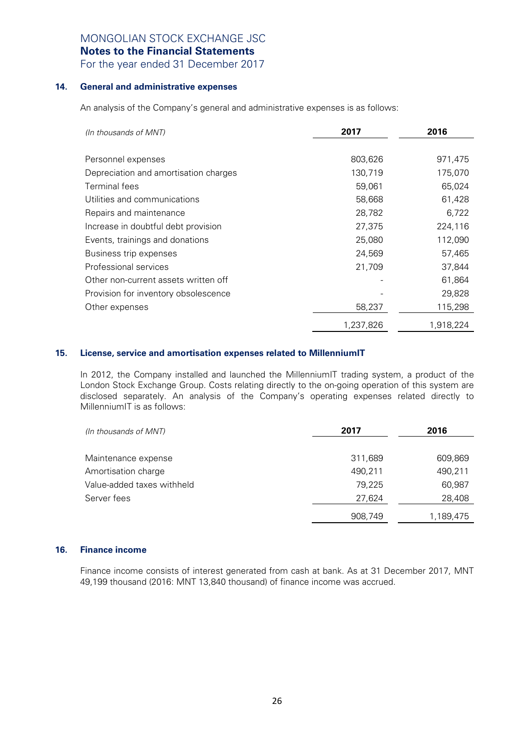#### **14. General and administrative expenses**

An analysis of the Company's general and administrative expenses is as follows:

| (In thousands of MNT)                 | 2017      | 2016      |
|---------------------------------------|-----------|-----------|
|                                       |           |           |
| Personnel expenses                    | 803,626   | 971,475   |
| Depreciation and amortisation charges | 130,719   | 175,070   |
| Terminal fees                         | 59,061    | 65,024    |
| Utilities and communications          | 58,668    | 61,428    |
| Repairs and maintenance               | 28,782    | 6,722     |
| Increase in doubtful debt provision   | 27,375    | 224,116   |
| Events, trainings and donations       | 25,080    | 112,090   |
| Business trip expenses                | 24,569    | 57,465    |
| Professional services                 | 21,709    | 37,844    |
| Other non-current assets written off  |           | 61,864    |
| Provision for inventory obsolescence  |           | 29,828    |
| Other expenses                        | 58,237    | 115,298   |
|                                       | 1,237,826 | 1,918,224 |

#### **15. License, service and amortisation expenses related to MillenniumIT**

In 2012, the Company installed and launched the MillenniumIT trading system, a product of the London Stock Exchange Group. Costs relating directly to the on-going operation of this system are disclosed separately. An analysis of the Company's operating expenses related directly to MillenniumIT is as follows:

| (In thousands of MNT)      | 2017    | 2016      |  |
|----------------------------|---------|-----------|--|
|                            |         |           |  |
| Maintenance expense        | 311,689 | 609,869   |  |
| Amortisation charge        | 490,211 | 490,211   |  |
| Value-added taxes withheld | 79,225  | 60,987    |  |
| Server fees                | 27,624  | 28,408    |  |
|                            | 908,749 | 1,189,475 |  |

#### **16. Finance income**

Finance income consists of interest generated from cash at bank. As at 31 December 2017, MNT 49,199 thousand (2016: MNT 13,840 thousand) of finance income was accrued.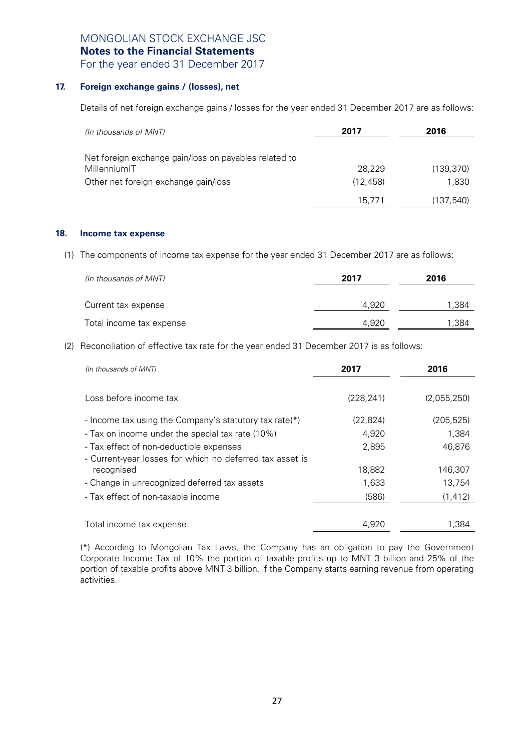## **17. Foreign exchange gains / (losses), net**

Details of net foreign exchange gains / losses for the year ended 31 December 2017 are as follows:

| (In thousands of MNT)                                                 | 2017     | 2016       |
|-----------------------------------------------------------------------|----------|------------|
| Net foreign exchange gain/loss on payables related to<br>MillenniumIT | 28.229   | (139, 370) |
| Other net foreign exchange gain/loss                                  | (12,458) | 1,830      |
|                                                                       | 15.771   | (137, 540) |

#### **18. Income tax expense**

(1) The components of income tax expense for the year ended 31 December 2017 are as follows:

| (In thousands of MNT)    | 2017  | 2016  |
|--------------------------|-------|-------|
| Current tax expense      | 4.920 | 1,384 |
| Total income tax expense | 4.920 | 1,384 |

(2) Reconciliation of effective tax rate for the year ended 31 December 2017 is as follows:

| (In thousands of MNT)                                                  | 2017       | 2016        |
|------------------------------------------------------------------------|------------|-------------|
| Loss before income tax                                                 | (228, 241) | (2,055,250) |
| - Income tax using the Company's statutory tax rate(*)                 | (22, 824)  | (205, 525)  |
| - Tax on income under the special tax rate (10%)                       | 4,920      | 1,384       |
| - Tax effect of non-deductible expenses                                | 2,895      | 46,876      |
| - Current-year losses for which no deferred tax asset is<br>recognised | 18,882     | 146,307     |
| - Change in unrecognized deferred tax assets                           | 1,633      | 13.754      |
| - Tax effect of non-taxable income                                     | (586)      | (1, 412)    |
| Total income tax expense                                               | 4,920      | 1,384       |

(\*) According to Mongolian Tax Laws, the Company has an obligation to pay the Government Corporate Income Tax of 10% the portion of taxable profits up to MNT 3 billion and 25% of the portion of taxable profits above MNT 3 billion, if the Company starts earning revenue from operating activities.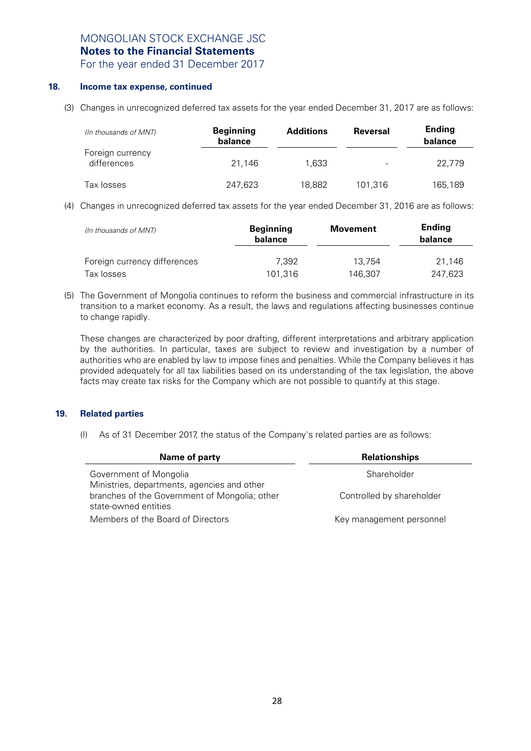#### **18. Income tax expense, continued**

(3) Changes in unrecognized deferred tax assets for the year ended December 31, 2017 are as follows:

| (In thousands of MNT)           | <b>Beginning</b><br>balance | <b>Additions</b> | Reversal | <b>Ending</b><br>balance |
|---------------------------------|-----------------------------|------------------|----------|--------------------------|
| Foreign currency<br>differences | 21.146                      | 1.633            |          | 22.779                   |
| Tax losses                      | 247,623                     | 18.882           | 101.316  | 165,189                  |

(4) Changes in unrecognized deferred tax assets for the year ended December 31, 2016 are as follows:

| (In thousands of MNT)        | <b>Beginning</b><br>balance | Movement | <b>Ending</b><br>balance |
|------------------------------|-----------------------------|----------|--------------------------|
| Foreign currency differences | 7.392                       | 13.754   | 21.146                   |
| Tax losses                   | 101.316                     | 146.307  | 247.623                  |

(5) The Government of Mongolia continues to reform the business and commercial infrastructure in its transition to a market economy. As a result, the laws and regulations affecting businesses continue to change rapidly.

These changes are characterized by poor drafting, different interpretations and arbitrary application by the authorities. In particular, taxes are subject to review and investigation by a number of authorities who are enabled by law to impose fines and penalties. While the Company believes it has provided adequately for all tax liabilities based on its understanding of the tax legislation, the above facts may create tax risks for the Company which are not possible to quantify at this stage.

## **19. Related parties**

(I) As of 31 December 2017, the status of the Company's related parties are as follows:

| Name of party                                                                                                        | <b>Relationships</b>      |
|----------------------------------------------------------------------------------------------------------------------|---------------------------|
| Government of Mongolia                                                                                               | Shareholder               |
| Ministries, departments, agencies and other<br>branches of the Government of Mongolia; other<br>state-owned entities | Controlled by shareholder |
| Members of the Board of Directors                                                                                    | Key management personnel  |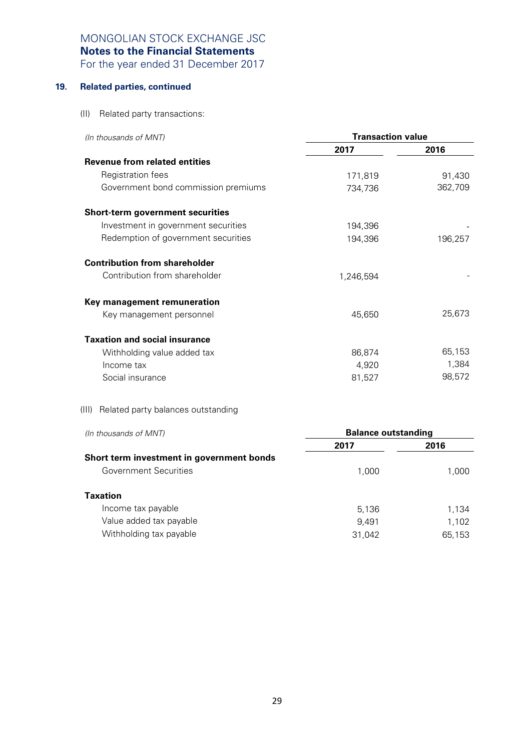## **19. Related parties, continued**

(II) Related party transactions:

| (In thousands of MNT)                   | <b>Transaction value</b> |         |  |
|-----------------------------------------|--------------------------|---------|--|
|                                         | 2017                     | 2016    |  |
| <b>Revenue from related entities</b>    |                          |         |  |
| Registration fees                       | 171,819                  | 91,430  |  |
| Government bond commission premiums     | 734,736                  | 362,709 |  |
| <b>Short-term government securities</b> |                          |         |  |
| Investment in government securities     | 194,396                  |         |  |
| Redemption of government securities     | 194,396                  | 196,257 |  |
| <b>Contribution from shareholder</b>    |                          |         |  |
| Contribution from shareholder           | 1,246,594                |         |  |
| Key management remuneration             |                          |         |  |
| Key management personnel                | 45,650                   | 25,673  |  |
| <b>Taxation and social insurance</b>    |                          |         |  |
| Withholding value added tax             | 86,874                   | 65,153  |  |
| Income tax                              | 4,920                    | 1,384   |  |
| Social insurance                        | 81,527                   | 98,572  |  |

## (III) Related party balances outstanding

| (In thousands of MNT)                     | <b>Balance outstanding</b> |        |
|-------------------------------------------|----------------------------|--------|
|                                           | 2017                       | 2016   |
| Short term investment in government bonds |                            |        |
| Government Securities                     | 1.000                      | 1,000  |
| Taxation                                  |                            |        |
| Income tax payable                        | 5,136                      | 1.134  |
| Value added tax payable                   | 9,491                      | 1,102  |
| Withholding tax payable                   | 31,042                     | 65,153 |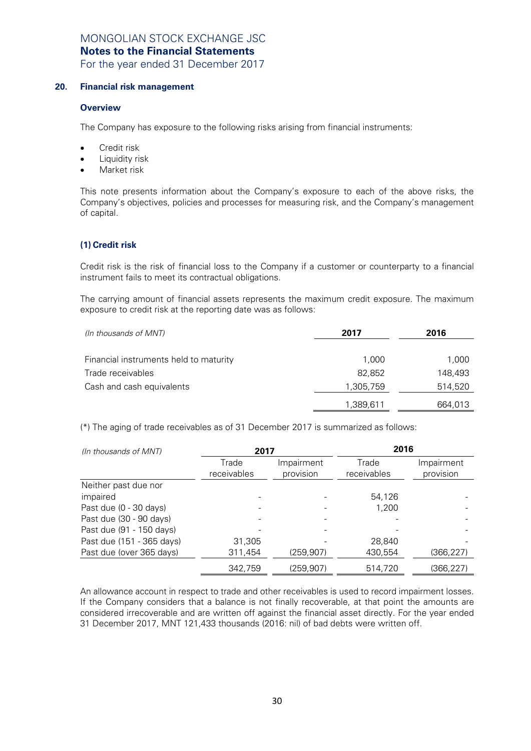#### **20. Financial risk management**

#### **Overview**

The Company has exposure to the following risks arising from financial instruments:

- Credit risk
- Liquidity risk
- Market risk

This note presents information about the Company's exposure to each of the above risks, the Company's objectives, policies and processes for measuring risk, and the Company's management of capital.

## **(1) Credit risk**

Credit risk is the risk of financial loss to the Company if a customer or counterparty to a financial instrument fails to meet its contractual obligations.

The carrying amount of financial assets represents the maximum credit exposure. The maximum exposure to credit risk at the reporting date was as follows:

| (In thousands of MNT)                  | 2017      | 2016    |  |
|----------------------------------------|-----------|---------|--|
|                                        |           |         |  |
| Financial instruments held to maturity | 1,000     | 1,000   |  |
| Trade receivables                      | 82.852    | 148,493 |  |
| Cash and cash equivalents              | 1,305,759 | 514,520 |  |
|                                        | 1,389,611 | 664,013 |  |

(\*) The aging of trade receivables as of 31 December 2017 is summarized as follows:

| (In thousands of MNT)     | 2017                 |                         | 2016                 |                         |
|---------------------------|----------------------|-------------------------|----------------------|-------------------------|
|                           | Trade<br>receivables | Impairment<br>provision | Trade<br>receivables | Impairment<br>provision |
| Neither past due nor      |                      |                         |                      |                         |
| impaired                  |                      |                         | 54,126               |                         |
| Past due (0 - 30 days)    |                      |                         | 1,200                |                         |
| Past due (30 - 90 days)   |                      |                         |                      |                         |
| Past due (91 - 150 days)  |                      |                         |                      |                         |
| Past due (151 - 365 days) | 31,305               |                         | 28.840               |                         |
| Past due (over 365 days)  | 311,454              | (259, 907)              | 430,554              | (366,227)               |
|                           | 342,759              | (259.907)               | 514,720              | (366,227)               |

An allowance account in respect to trade and other receivables is used to record impairment losses. If the Company considers that a balance is not finally recoverable, at that point the amounts are considered irrecoverable and are written off against the financial asset directly. For the year ended 31 December 2017, MNT 121,433 thousands (2016: nil) of bad debts were written off.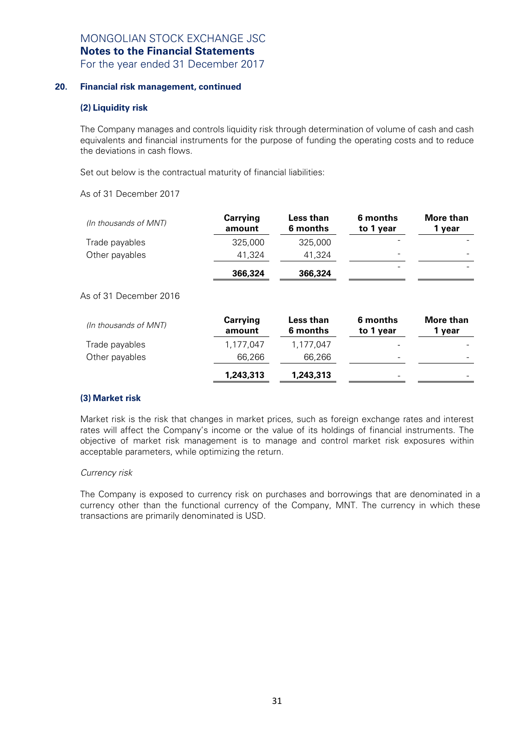#### **20. Financial risk management, continued**

## **(2) Liquidity risk**

The Company manages and controls liquidity risk through determination of volume of cash and cash equivalents and financial instruments for the purpose of funding the operating costs and to reduce the deviations in cash flows.

Set out below is the contractual maturity of financial liabilities:

As of 31 December 2017

| (In thousands of MNT) | Carrying<br>amount | Less than<br>6 months | 6 months<br>to 1 year    | More than<br>1 year |
|-----------------------|--------------------|-----------------------|--------------------------|---------------------|
| Trade payables        | 325,000            | 325,000               | $\overline{\phantom{0}}$ |                     |
| Other payables        | 41.324             | 41.324                | -                        |                     |
|                       | 366,324            | 366,324               | -                        |                     |

As of 31 December 2016

| (In thousands of MNT) | Carrying<br>amount | Less than<br>6 months | 6 months<br>to 1 year | More than<br>1 year |
|-----------------------|--------------------|-----------------------|-----------------------|---------------------|
| Trade payables        | 1.177.047          | 1.177.047             |                       |                     |
| Other payables        | 66,266             | 66.266                | -                     |                     |
|                       | 1,243,313          | 1,243,313             | -                     |                     |

## **(3) Market risk**

Market risk is the risk that changes in market prices, such as foreign exchange rates and interest rates will affect the Company's income or the value of its holdings of financial instruments. The objective of market risk management is to manage and control market risk exposures within acceptable parameters, while optimizing the return.

#### Currency risk

The Company is exposed to currency risk on purchases and borrowings that are denominated in a currency other than the functional currency of the Company, MNT. The currency in which these transactions are primarily denominated is USD.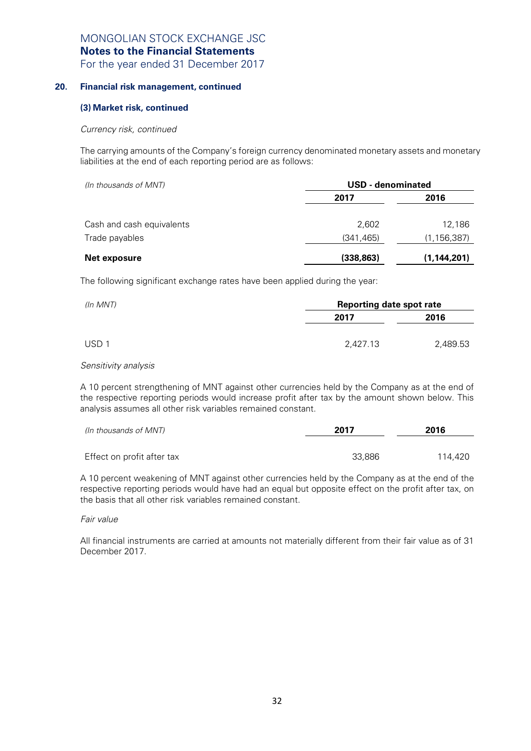#### **20. Financial risk management, continued**

#### **(3) Market risk, continued**

#### Currency risk, continued

The carrying amounts of the Company's foreign currency denominated monetary assets and monetary liabilities at the end of each reporting period are as follows:

| (In thousands of MNT)     | USD - denominated |               |  |
|---------------------------|-------------------|---------------|--|
|                           | 2017              | 2016          |  |
| Cash and cash equivalents | 2,602             | 12,186        |  |
| Trade payables            | (341, 465)        | (1,156,387)   |  |
| <b>Net exposure</b>       | (338, 863)        | (1, 144, 201) |  |

The following significant exchange rates have been applied during the year:

| (In MNT)         |          | <b>Reporting date spot rate</b> |  |  |
|------------------|----------|---------------------------------|--|--|
|                  | 2017     | 2016                            |  |  |
| USD <sub>1</sub> | 2.427.13 | 2,489.53                        |  |  |

#### Sensitivity analysis

A 10 percent strengthening of MNT against other currencies held by the Company as at the end of the respective reporting periods would increase profit after tax by the amount shown below. This analysis assumes all other risk variables remained constant.

| (In thousands of MNT)      | 2017   | 2016    |  |
|----------------------------|--------|---------|--|
|                            |        |         |  |
| Effect on profit after tax | 33.886 | 114,420 |  |

A 10 percent weakening of MNT against other currencies held by the Company as at the end of the respective reporting periods would have had an equal but opposite effect on the profit after tax, on the basis that all other risk variables remained constant.

#### Fair value

All financial instruments are carried at amounts not materially different from their fair value as of 31 December 2017.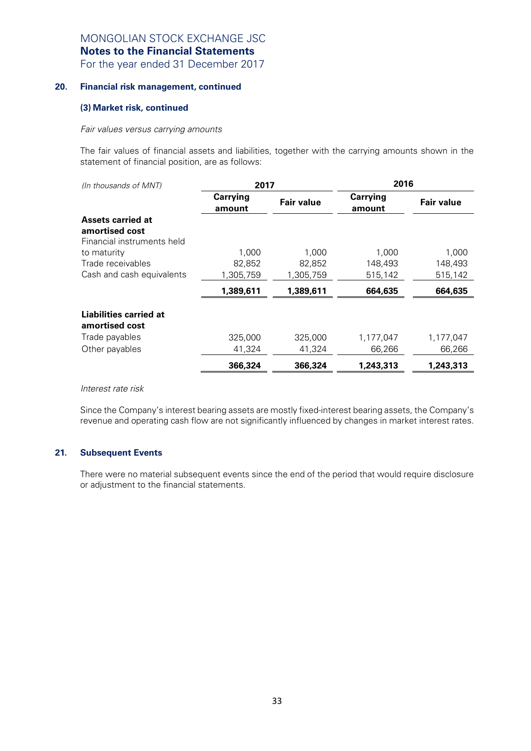#### **20. Financial risk management, continued**

#### **(3) Market risk, continued**

Fair values versus carrying amounts

The fair values of financial assets and liabilities, together with the carrying amounts shown in the statement of financial position, are as follows:

| (In thousands of MNT)                                             | 2017               |                   | 2016               |            |
|-------------------------------------------------------------------|--------------------|-------------------|--------------------|------------|
|                                                                   | Carrying<br>amount | <b>Fair value</b> | Carrying<br>amount | Fair value |
| Assets carried at<br>amortised cost<br>Financial instruments held |                    |                   |                    |            |
| to maturity                                                       | 1,000              | 1,000             | 1,000              | 1,000      |
| Trade receivables                                                 | 82,852             | 82,852            | 148,493            | 148,493    |
| Cash and cash equivalents                                         | 1,305,759          | 1.305.759         | 515,142            | 515,142    |
|                                                                   | 1,389,611          | 1,389,611         | 664,635            | 664,635    |
| Liabilities carried at<br>amortised cost                          |                    |                   |                    |            |
| Trade payables                                                    | 325,000            | 325,000           | 1,177,047          | 1,177,047  |
| Other payables                                                    | 41,324             | 41,324            | 66,266             | 66,266     |
|                                                                   | 366,324            | 366,324           | 1,243,313          | 1,243,313  |

Interest rate risk

Since the Company's interest bearing assets are mostly fixed-interest bearing assets, the Company's revenue and operating cash flow are not significantly influenced by changes in market interest rates.

## **21. Subsequent Events**

There were no material subsequent events since the end of the period that would require disclosure or adjustment to the financial statements.